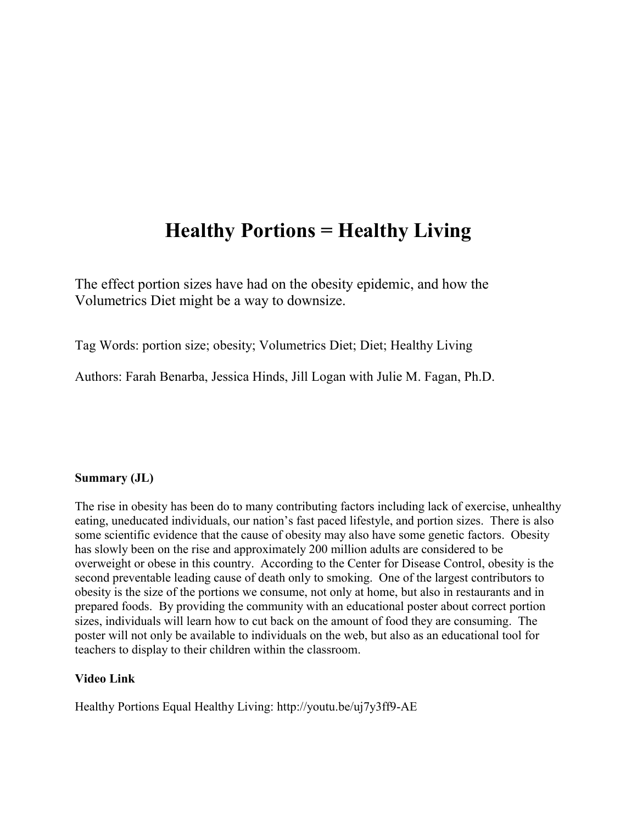# **Healthy Portions = Healthy Living**

The effect portion sizes have had on the obesity epidemic, and how the Volumetrics Diet might be a way to downsize.

Tag Words: portion size; obesity; Volumetrics Diet; Diet; Healthy Living

Authors: Farah Benarba, Jessica Hinds, Jill Logan with Julie M. Fagan, Ph.D.

# **Summary (JL)**

The rise in obesity has been do to many contributing factors including lack of exercise, unhealthy eating, uneducated individuals, our nation's fast paced lifestyle, and portion sizes. There is also some scientific evidence that the cause of obesity may also have some genetic factors. Obesity has slowly been on the rise and approximately 200 million adults are considered to be overweight or obese in this country. According to the Center for Disease Control, obesity is the second preventable leading cause of death only to smoking. One of the largest contributors to obesity is the size of the portions we consume, not only at home, but also in restaurants and in prepared foods. By providing the community with an educational poster about correct portion sizes, individuals will learn how to cut back on the amount of food they are consuming. The poster will not only be available to individuals on the web, but also as an educational tool for teachers to display to their children within the classroom.

#### **Video Link**

Healthy Portions Equal Healthy Living: http://youtu.be/uj7y3ff9-AE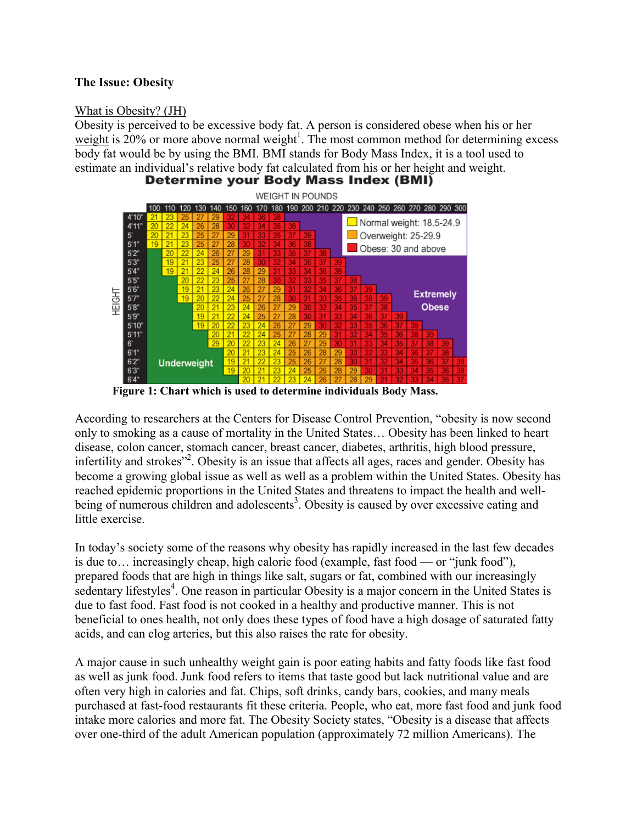## **The Issue: Obesity**

#### What is Obesity? (JH)

Obesity is perceived to be excessive body fat. A person is considered obese when his or her [weight](http://www.webmd.com/diet/tc/healthy-weight-what-is-a-healthy-weight) is  $20\%$  or more above normal weight<sup>1</sup>. The most common method for determining excess body fat would be by using the BMI. BMI stands for Body Mass Index, it is a tool used to estimate an individual's relative body fat calculated from his or her height and weight.<br>Determine your Body Mass Index (BMI)



**Figure 1: Chart which is used to determine individuals Body Mass.** 

According to researchers at the Centers for Disease Control Prevention, "obesity is now second only to smoking as a cause of mortality in the United States… Obesity has been linked to heart disease, colon cancer, stomach cancer, breast cancer, diabetes, arthritis, high blood pressure, infertility and strokes"<sup>2</sup>. Obesity is an issue that affects all ages, races and gender. Obesity has become a growing global issue as well as well as a problem within the United States. Obesity has reached epidemic proportions in the United States and threatens to impact the health and wellbeing of numerous children and adolescents<sup>3</sup>. Obesity is caused by over excessive eating and little exercise.

In today's society some of the reasons why obesity has rapidly increased in the last few decades is due to… increasingly cheap, high calorie food (example, fast food — or "junk food"), prepared foods that are high in things like salt, sugars or fat, combined with our increasingly sedentary lifestyles<sup>4</sup>. One reason in particular Obesity is a major concern in the United States is due to fast food. Fast food is not cooked in a healthy and productive manner. This is not beneficial to ones health, not only does these types of food have a high dosage of saturated fatty acids, and can clog arteries, but this also raises the rate for obesity.

A major cause in such unhealthy weight gain is poor eating habits and fatty foods like fast food as well as junk food. Junk food refers to items that taste good but lack nutritional value and are often very high in calories and fat. Chips, soft drinks, candy bars, cookies, and many meals purchased at fast-food restaurants fit these criteria. People, who eat, more fast food and junk food intake more calories and more fat. The Obesity Society states, "Obesity is a disease that affects over one-third of the adult American population (approximately 72 million Americans). The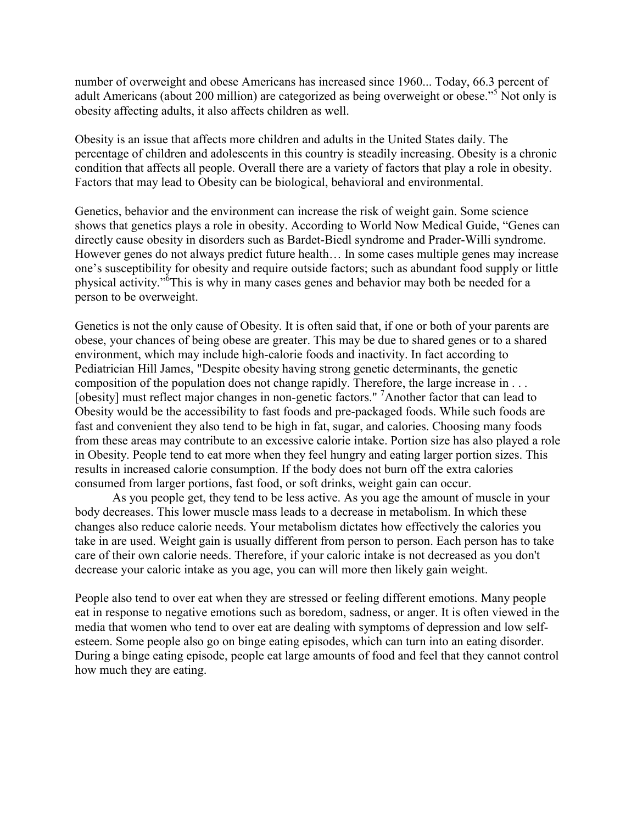number of overweight and obese Americans has increased since 1960... Today, 66.3 percent of adult Americans (about 200 million) are categorized as being overweight or obese.<sup>55</sup> Not only is obesity affecting adults, it also affects children as well.

Obesity is an issue that affects more children and adults in the United States daily. The percentage of children and adolescents in this country is steadily increasing. Obesity is a chronic condition that affects all people. Overall there are a variety of factors that play a role in obesity. Factors that may lead to Obesity can be biological, behavioral and environmental.

Genetics, behavior and the environment can increase the risk of weight gain. Some science shows that genetics plays a role in obesity. According to World Now Medical Guide, "Genes can directly cause obesity in disorders such as Bardet-Biedl syndrome and Prader-Willi syndrome. However genes do not always predict future health… In some cases multiple genes may increase one's susceptibility for obesity and require outside factors; such as abundant food supply or little physical activity."<sup>5</sup>This is why in many cases genes and behavior may both be needed for a person to be overweight.

Genetics is not the only cause of Obesity. It is often said that, if one or both of your parents are obese, your chances of being obese are greater. This may be due to shared genes or to a shared environment, which may include high-calorie foods and inactivity. In fact according to Pediatrician Hill James, "Despite obesity having strong genetic determinants, the genetic composition of the population does not change rapidly. Therefore, the large increase in . . . [obesity] must reflect major changes in non-genetic factors." <sup>7</sup>Another factor that can lead to Obesity would be the accessibility to fast foods and pre-packaged foods. While such foods are fast and convenient they also tend to be high in fat, sugar, and calories. Choosing many foods from these areas may contribute to an excessive calorie intake. Portion size has also played a role in Obesity. People tend to eat more when they feel hungry and eating larger portion sizes. This results in increased calorie consumption. If the body does not burn off the extra calories consumed from larger portions, fast food, or soft drinks, weight gain can occur.

As you people get, they tend to be less active. As you age the amount of muscle in your body decreases. This lower muscle mass leads to a decrease in metabolism. In which these changes also reduce calorie needs. Your metabolism dictates how effectively the calories you take in are used. Weight gain is usually different from person to person. Each person has to take care of their own calorie needs. Therefore, if your caloric intake is not decreased as you don't decrease your caloric intake as you age, you can will more then likely gain weight.

People also tend to over eat when they are stressed or feeling different emotions. Many people eat in response to negative emotions such as boredom, sadness, or anger. It is often viewed in the media that women who tend to over eat are dealing with symptoms of depression and low selfesteem. Some people also go on binge eating episodes, which can turn into an eating disorder. During a binge eating episode, people eat large amounts of food and feel that they cannot control how much they are eating.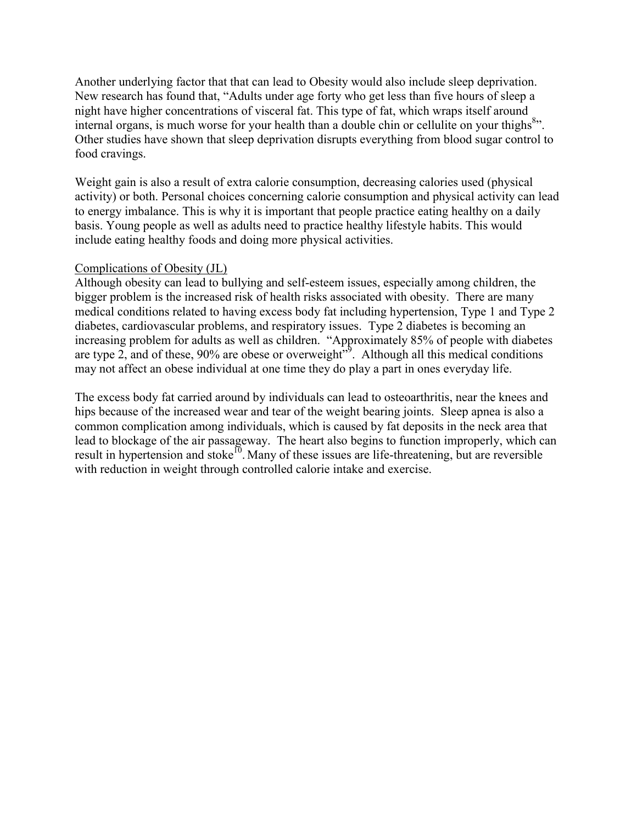Another underlying factor that that can lead to Obesity would also include sleep deprivation. New research has found that, "Adults under age forty who get less than five hours of sleep a night have higher concentrations of visceral fat. This type of fat, which wraps itself around internal organs, is much worse for your health than a double chin or cellulite on your thighs<sup>8</sup>". Other studies have shown that sleep deprivation disrupts everything from blood sugar control to food cravings.

Weight gain is also a result of extra calorie consumption, decreasing calories used (physical activity) or both. Personal choices concerning calorie consumption and physical activity can lead to energy imbalance. This is why it is important that people practice eating healthy on a daily basis. Young people as well as adults need to practice healthy lifestyle habits. This would include eating healthy foods and doing more physical activities.

#### Complications of Obesity (JL)

Although obesity can lead to bullying and self-esteem issues, especially among children, the bigger problem is the increased risk of health risks associated with obesity. There are many medical conditions related to having excess body fat including hypertension, Type 1 and Type 2 diabetes, cardiovascular problems, and respiratory issues. Type 2 diabetes is becoming an increasing problem for adults as well as children. "Approximately 85% of people with diabetes are type 2, and of these,  $90\%$  are obese or overweight<sup> $\mathcal{P}$ </sup>. Although all this medical conditions may not affect an obese individual at one time they do play a part in ones everyday life.

The excess body fat carried around by individuals can lead to osteoarthritis, near the knees and hips because of the increased wear and tear of the weight bearing joints. Sleep apnea is also a common complication among individuals, which is caused by fat deposits in the neck area that lead to blockage of the air passageway. The heart also begins to function improperly, which can result in hypertension and stoke<sup>10</sup>. Many of these issues are life-threatening, but are reversible with reduction in weight through controlled calorie intake and exercise.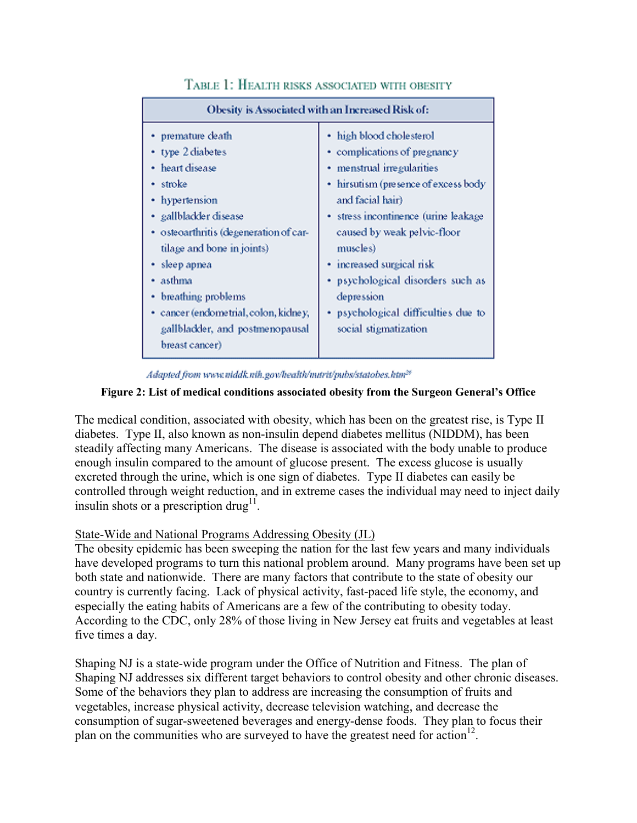| Obesity is Associated with an Increased Risk of:                                                                                                                                                                                                                                                                                          |                                                                                                                                                                                                                                                                                                                                                                                       |
|-------------------------------------------------------------------------------------------------------------------------------------------------------------------------------------------------------------------------------------------------------------------------------------------------------------------------------------------|---------------------------------------------------------------------------------------------------------------------------------------------------------------------------------------------------------------------------------------------------------------------------------------------------------------------------------------------------------------------------------------|
| • premature death<br>• type 2 diabetes<br>heart disease<br>• stroke<br>• hypertension<br>· gallblackler disease<br>· osteoarthritis (degeneration of car-<br>tilage and bone in joints)<br>• sleep apnea<br>• asthma<br>breathing problems<br>· cancer (endometrial, colon, kidney,<br>gallblackler, and postmenopausal<br>breast cancer) | • high blood cholesterol<br>• complications of pregnancy<br>· menstrual irregularities<br>• hirsutism (presence of excess body<br>and facial hair)<br>· stress incontinence (urine leakage<br>caused by weak pelvic-floor<br>muscles)<br>• increased surgical risk<br>· psychological disorders such as<br>depression<br>• psychological difficulties due to<br>social stigmatization |

# TABLE 1: HEALTH RISKS ASSOCIATED WITH OBESITY

Adapted from www.niddk.nih.gov/health/murit/pubs/statobes.htm<sup>26</sup>

#### **Figure 2: List of medical conditions associated obesity from the Surgeon General's Office**

The medical condition, associated with obesity, which has been on the greatest rise, is Type II diabetes. Type II, also known as non-insulin depend diabetes mellitus (NIDDM), has been steadily affecting many Americans. The disease is associated with the body unable to produce enough insulin compared to the amount of glucose present. The excess glucose is usually excreted through the urine, which is one sign of diabetes. Type II diabetes can easily be controlled through weight reduction, and in extreme cases the individual may need to inject daily insulin shots or a prescription drug<sup>11</sup>.

#### State-Wide and National Programs Addressing Obesity (JL)

The obesity epidemic has been sweeping the nation for the last few years and many individuals have developed programs to turn this national problem around. Many programs have been set up both state and nationwide. There are many factors that contribute to the state of obesity our country is currently facing. Lack of physical activity, fast-paced life style, the economy, and especially the eating habits of Americans are a few of the contributing to obesity today. According to the CDC, only 28% of those living in New Jersey eat fruits and vegetables at least five times a day.

Shaping NJ is a state-wide program under the Office of Nutrition and Fitness. The plan of Shaping NJ addresses six different target behaviors to control obesity and other chronic diseases. Some of the behaviors they plan to address are increasing the consumption of fruits and vegetables, increase physical activity, decrease television watching, and decrease the consumption of sugar-sweetened beverages and energy-dense foods. They plan to focus their plan on the communities who are surveyed to have the greatest need for action<sup>12</sup>.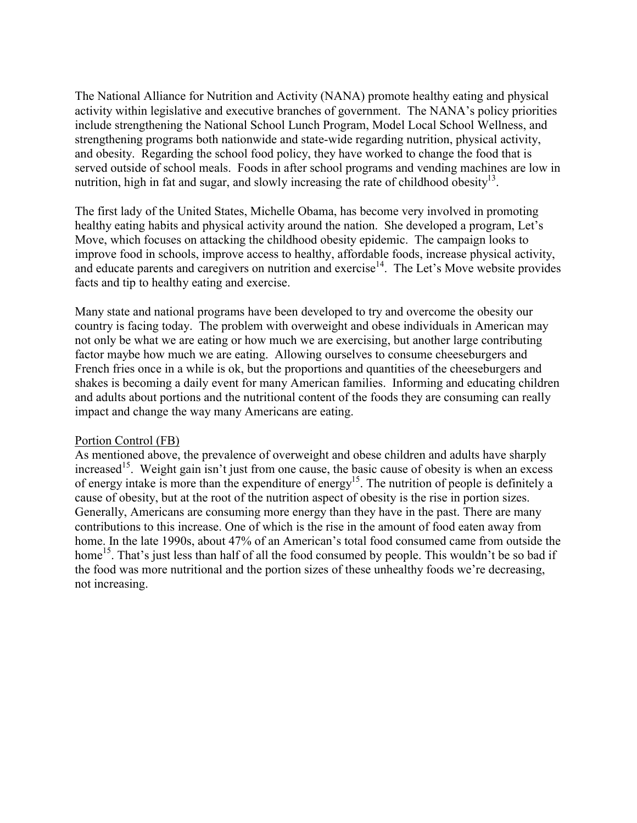The National Alliance for Nutrition and Activity (NANA) promote healthy eating and physical activity within legislative and executive branches of government. The NANA's policy priorities include strengthening the National School Lunch Program, Model Local School Wellness, and strengthening programs both nationwide and state-wide regarding nutrition, physical activity, and obesity. Regarding the school food policy, they have worked to change the food that is served outside of school meals. Foods in after school programs and vending machines are low in nutrition, high in fat and sugar, and slowly increasing the rate of childhood obesity $13$ .

The first lady of the United States, Michelle Obama, has become very involved in promoting healthy eating habits and physical activity around the nation. She developed a program, Let's Move, which focuses on attacking the childhood obesity epidemic. The campaign looks to improve food in schools, improve access to healthy, affordable foods, increase physical activity, and educate parents and caregivers on nutrition and exercise<sup>14</sup>. The Let's Move website provides facts and tip to healthy eating and exercise.

Many state and national programs have been developed to try and overcome the obesity our country is facing today. The problem with overweight and obese individuals in American may not only be what we are eating or how much we are exercising, but another large contributing factor maybe how much we are eating. Allowing ourselves to consume cheeseburgers and French fries once in a while is ok, but the proportions and quantities of the cheeseburgers and shakes is becoming a daily event for many American families. Informing and educating children and adults about portions and the nutritional content of the foods they are consuming can really impact and change the way many Americans are eating.

#### Portion Control (FB)

As mentioned above, the prevalence of overweight and obese children and adults have sharply increased<sup>15</sup>. Weight gain isn't just from one cause, the basic cause of obesity is when an excess of energy intake is more than the expenditure of energy<sup>15</sup>. The nutrition of people is definitely a cause of obesity, but at the root of the nutrition aspect of obesity is the rise in portion sizes. Generally, Americans are consuming more energy than they have in the past. There are many contributions to this increase. One of which is the rise in the amount of food eaten away from home. In the late 1990s, about 47% of an American's total food consumed came from outside the home<sup>15</sup>. That's just less than half of all the food consumed by people. This wouldn't be so bad if the food was more nutritional and the portion sizes of these unhealthy foods we're decreasing, not increasing.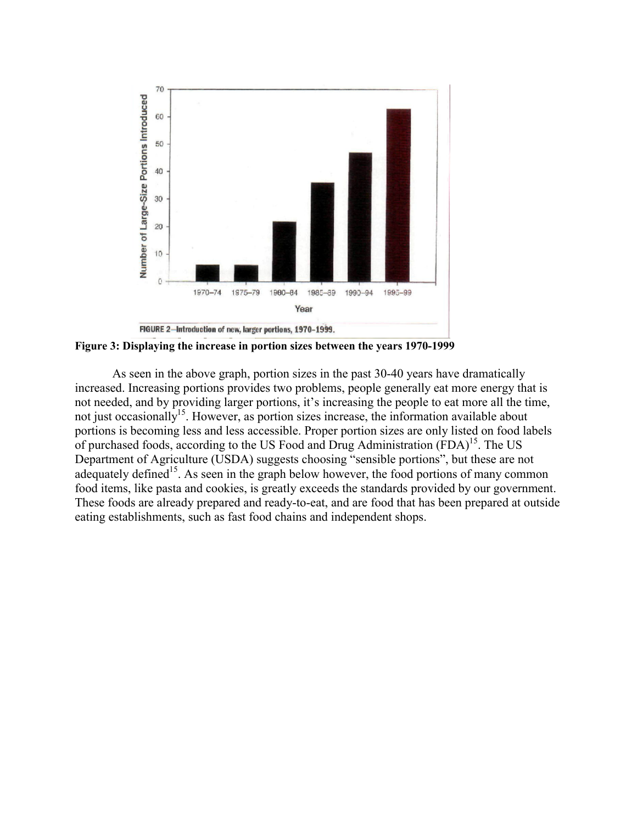

**Figure 3: Displaying the increase in portion sizes between the years 1970-1999**

As seen in the above graph, portion sizes in the past 30-40 years have dramatically increased. Increasing portions provides two problems, people generally eat more energy that is not needed, and by providing larger portions, it's increasing the people to eat more all the time, not just occasionally<sup>15</sup>. However, as portion sizes increase, the information available about portions is becoming less and less accessible. Proper portion sizes are only listed on food labels of purchased foods, according to the US Food and Drug Administration (FDA)<sup>15</sup>. The US Department of Agriculture (USDA) suggests choosing "sensible portions", but these are not adequately defined<sup>15</sup>. As seen in the graph below however, the food portions of many common food items, like pasta and cookies, is greatly exceeds the standards provided by our government. These foods are already prepared and ready-to-eat, and are food that has been prepared at outside eating establishments, such as fast food chains and independent shops.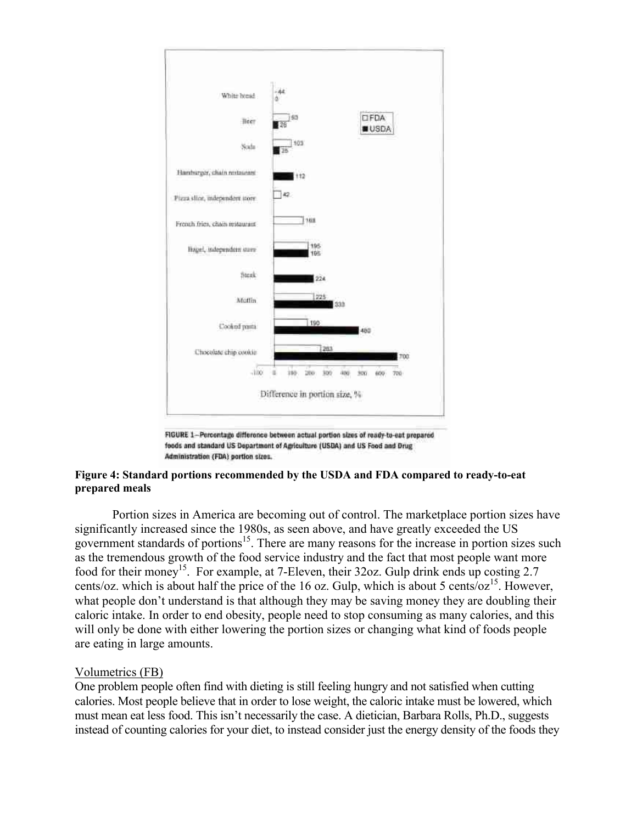

FIGURE 1-Percentage difference between actual portion sizes of ready-to-eat prepared foods and standard US Department of Agriculture (USDA) and US Food and Drug Administration (FDA) portion sizes.

#### **Figure 4: Standard portions recommended by the USDA and FDA compared to ready-to-eat prepared meals**

Portion sizes in America are becoming out of control. The marketplace portion sizes have significantly increased since the 1980s, as seen above, and have greatly exceeded the US government standards of portions<sup>15</sup>. There are many reasons for the increase in portion sizes such as the tremendous growth of the food service industry and the fact that most people want more food for their money<sup>15</sup>. For example, at 7-Eleven, their 32oz. Gulp drink ends up costing 2.7 cents/oz. which is about half the price of the 16 oz. Gulp, which is about 5 cents/oz<sup>15</sup>. However, what people don't understand is that although they may be saving money they are doubling their caloric intake. In order to end obesity, people need to stop consuming as many calories, and this will only be done with either lowering the portion sizes or changing what kind of foods people are eating in large amounts.

#### Volumetrics (FB)

One problem people often find with dieting is still feeling hungry and not satisfied when cutting calories. Most people believe that in order to lose weight, the caloric intake must be lowered, which must mean eat less food. This isn't necessarily the case. A dietician, Barbara Rolls, Ph.D., suggests instead of counting calories for your diet, to instead consider just the energy density of the foods they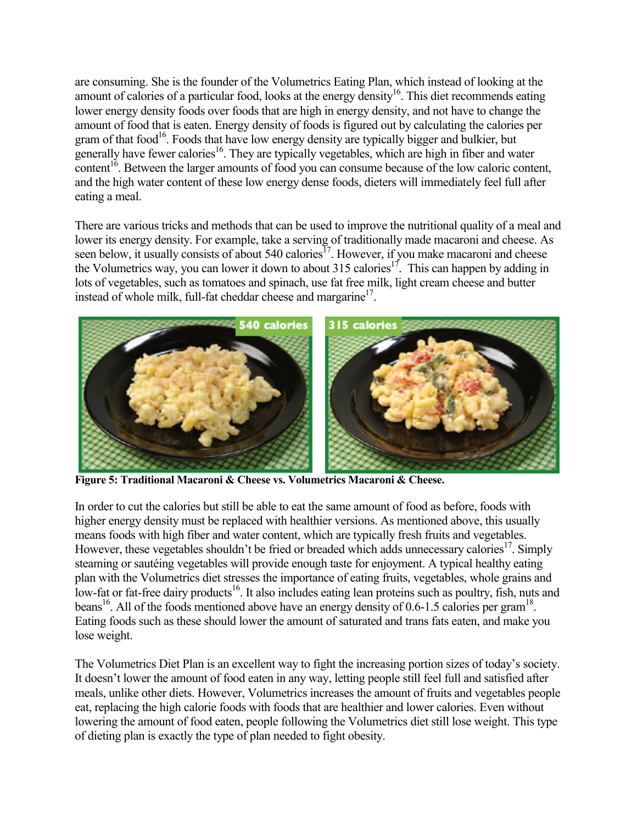are consuming. She is the founder of the Volumetrics Eating Plan, which instead of looking at the amount of calories of a particular food, looks at the energy density<sup>16</sup>. This diet recommends eating lower energy density foods over foods that are high in energy density, and not have to change the amount of food that is eaten. Energy density of foods is figured out by calculating the calories per gram of that food<sup>16</sup>. Foods that have low energy density are typically bigger and bulkier, but generally have fewer calories<sup>16</sup>. They are typically vegetables, which are high in fiber and water content<sup>16</sup>. Between the larger amounts of food you can consume because of the low caloric content, and the high water content of these low energy dense foods, dieters will immediately feel full after eating a meal.

There are various tricks and methods that can be used to improve the nutritional quality of a meal and lower its energy density. For example, take a serving of traditionally made macaroni and cheese. As seen below, it usually consists of about 540 calories<sup>17</sup>. However, if you make macaroni and cheese the Volumetrics way, you can lower it down to about 315 calories<sup>17</sup>. This can happen by adding in lots of vegetables, such as tomatoes and spinach, use fat free milk, light cream cheese and butter instead of whole milk, full-fat cheddar cheese and margarine<sup>17</sup>.



**Figure 5: Traditional Macaroni & Cheese vs. Volumetrics Macaroni & Cheese.** 

In order to cut the calories but still be able to eat the same amount of food as before, foods with higher energy density must be replaced with healthier versions. As mentioned above, this usually means foods with high fiber and water content, which are typically fresh fruits and vegetables. However, these vegetables shouldn't be fried or breaded which adds unnecessary calories<sup>17</sup>. Simply steaming or sautéing vegetables will provide enough taste for enjoyment. A typical healthy eating plan with the Volumetrics diet stresses the importance of eating fruits, vegetables, whole grains and low-fat or fat-free dairy products<sup>16</sup>. It also includes eating lean proteins such as poultry, fish, nuts and beans<sup>16</sup>. All of the foods mentioned above have an energy density of 0.6-1.5 calories per gram<sup>18</sup>. Eating foods such as these should lower the amount of saturated and trans fats eaten, and make you lose weight.

The Volumetrics Diet Plan is an excellent way to fight the increasing portion sizes of today's society. It doesn't lower the amount of food eaten in any way, letting people still feel full and satisfied after meals, unlike other diets. However, Volumetrics increases the amount of fruits and vegetables people eat, replacing the high calorie foods with foods that are healthier and lower calories. Even without lowering the amount of food eaten, people following the Volumetrics diet still lose weight. This type of dieting plan is exactly the type of plan needed to fight obesity.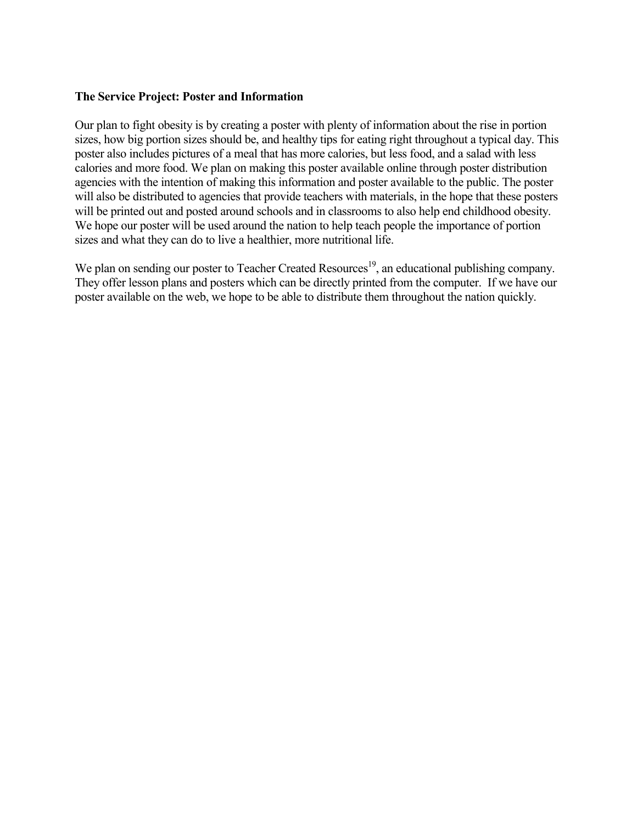#### **The Service Project: Poster and Information**

Our plan to fight obesity is by creating a poster with plenty of information about the rise in portion sizes, how big portion sizes should be, and healthy tips for eating right throughout a typical day. This poster also includes pictures of a meal that has more calories, but less food, and a salad with less calories and more food. We plan on making this poster available online through poster distribution agencies with the intention of making this information and poster available to the public. The poster will also be distributed to agencies that provide teachers with materials, in the hope that these posters will be printed out and posted around schools and in classrooms to also help end childhood obesity. We hope our poster will be used around the nation to help teach people the importance of portion sizes and what they can do to live a healthier, more nutritional life.

We plan on sending our poster to Teacher Created Resources<sup>19</sup>, an educational publishing company. They offer lesson plans and posters which can be directly printed from the computer. If we have our poster available on the web, we hope to be able to distribute them throughout the nation quickly.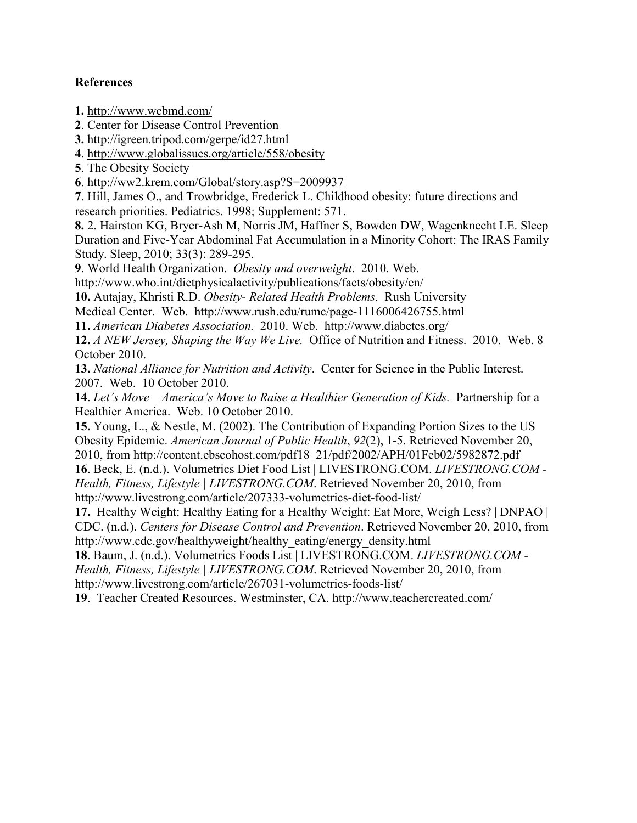# **References**

**1.** <http://www.webmd.com/>

**2**. Center for Disease Control Prevention

**3.** <http://igreen.tripod.com/gerpe/id27.html>

**4**.<http://www.globalissues.org/article/558/obesity>

**5**. The Obesity Society

**6**.<http://ww2.krem.com/Global/story.asp?S=2009937>

**7**. Hill, James O., and Trowbridge, Frederick L. Childhood obesity: future directions and research priorities. Pediatrics. 1998; Supplement: 571.

**8.** 2. Hairston KG, Bryer-Ash M, Norris JM, Haffner S, Bowden DW, Wagenknecht LE. Sleep Duration and Five-Year Abdominal Fat Accumulation in a Minority Cohort: The IRAS Family Study. Sleep, 2010; 33(3): 289-295.

**9**. World Health Organization. *Obesity and overweight*. 2010. Web.

http://www.who.int/dietphysicalactivity/publications/facts/obesity/en/

**10.** Autajay, Khristi R.D. *Obesity- Related Health Problems.* Rush University

Medical Center. Web. http://www.rush.edu/rumc/page-1116006426755.html

**11.** *American Diabetes Association.* 2010. Web. http://www.diabetes.org/

**12.** *A NEW Jersey, Shaping the Way We Live.* Office of Nutrition and Fitness. 2010. Web. 8 October 2010.

**13.** *National Alliance for Nutrition and Activity*. Center for Science in the Public Interest. 2007. Web. 10 October 2010.

**14**. *Let's Move – America's Move to Raise a Healthier Generation of Kids.* Partnership for a Healthier America. Web. 10 October 2010.

**15.** Young, L., & Nestle, M. (2002). The Contribution of Expanding Portion Sizes to the US Obesity Epidemic. *American Journal of Public Health*, *92*(2), 1-5. Retrieved November 20, 2010, from http://content.ebscohost.com/pdf18\_21/pdf/2002/APH/01Feb02/5982872.pdf

**16**. Beck, E. (n.d.). Volumetrics Diet Food List | LIVESTRONG.COM. *LIVESTRONG.COM - Health, Fitness, Lifestyle | LIVESTRONG.COM*. Retrieved November 20, 2010, from http://www.livestrong.com/article/207333-volumetrics-diet-food-list/

**17.** Healthy Weight: Healthy Eating for a Healthy Weight: Eat More, Weigh Less? | DNPAO | CDC. (n.d.). *Centers for Disease Control and Prevention*. Retrieved November 20, 2010, from http://www.cdc.gov/healthyweight/healthy\_eating/energy\_density.html

**18**. Baum, J. (n.d.). Volumetrics Foods List | LIVESTRONG.COM. *LIVESTRONG.COM - Health, Fitness, Lifestyle | LIVESTRONG.COM*. Retrieved November 20, 2010, from http://www.livestrong.com/article/267031-volumetrics-foods-list/

**19**. Teacher Created Resources. Westminster, CA. http://www.teachercreated.com/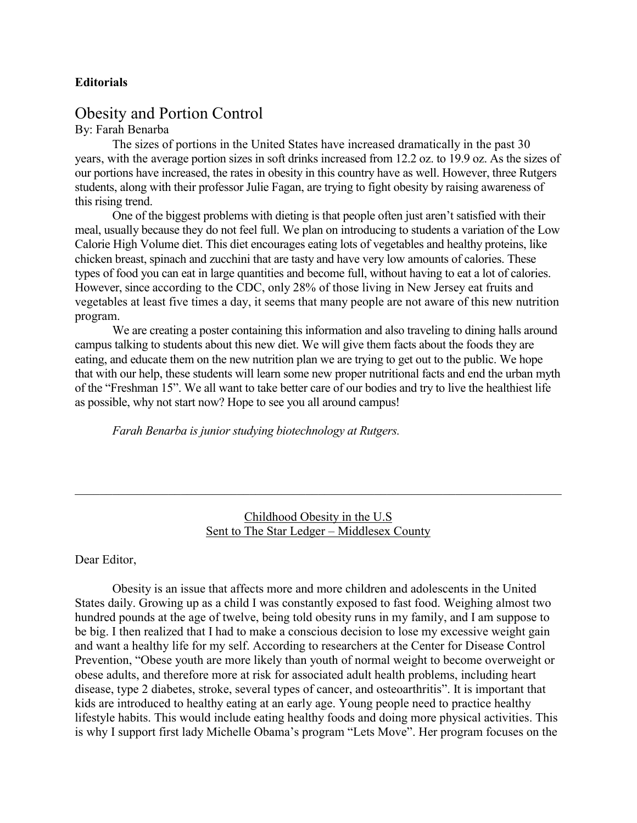#### **Editorials**

# Obesity and Portion Control

#### By: Farah Benarba

The sizes of portions in the United States have increased dramatically in the past 30 years, with the average portion sizes in soft drinks increased from 12.2 oz. to 19.9 oz. As the sizes of our portions have increased, the rates in obesity in this country have as well. However, three Rutgers students, along with their professor Julie Fagan, are trying to fight obesity by raising awareness of this rising trend.

One of the biggest problems with dieting is that people often just aren't satisfied with their meal, usually because they do not feel full. We plan on introducing to students a variation of the Low Calorie High Volume diet. This diet encourages eating lots of vegetables and healthy proteins, like chicken breast, spinach and zucchini that are tasty and have very low amounts of calories. These types of food you can eat in large quantities and become full, without having to eat a lot of calories. However, since according to the CDC, only 28% of those living in New Jersey eat fruits and vegetables at least five times a day, it seems that many people are not aware of this new nutrition program.

We are creating a poster containing this information and also traveling to dining halls around campus talking to students about this new diet. We will give them facts about the foods they are eating, and educate them on the new nutrition plan we are trying to get out to the public. We hope that with our help, these students will learn some new proper nutritional facts and end the urban myth of the "Freshman 15". We all want to take better care of our bodies and try to live the healthiest life as possible, why not start now? Hope to see you all around campus!

*Farah Benarba is junior studying biotechnology at Rutgers.*

Childhood Obesity in the U.S Sent to The Star Ledger – Middlesex County

 $\mathcal{L}_\mathcal{L} = \{ \mathcal{L}_\mathcal{L} = \{ \mathcal{L}_\mathcal{L} = \{ \mathcal{L}_\mathcal{L} = \{ \mathcal{L}_\mathcal{L} = \{ \mathcal{L}_\mathcal{L} = \{ \mathcal{L}_\mathcal{L} = \{ \mathcal{L}_\mathcal{L} = \{ \mathcal{L}_\mathcal{L} = \{ \mathcal{L}_\mathcal{L} = \{ \mathcal{L}_\mathcal{L} = \{ \mathcal{L}_\mathcal{L} = \{ \mathcal{L}_\mathcal{L} = \{ \mathcal{L}_\mathcal{L} = \{ \mathcal{L}_\mathcal{$ 

#### Dear Editor,

Obesity is an issue that affects more and more children and adolescents in the United States daily. Growing up as a child I was constantly exposed to fast food. Weighing almost two hundred pounds at the age of twelve, being told obesity runs in my family, and I am suppose to be big. I then realized that I had to make a conscious decision to lose my excessive weight gain and want a healthy life for my self. According to researchers at the Center for Disease Control Prevention, "Obese youth are more likely than youth of normal weight to become overweight or obese adults, and therefore more at risk for associated adult health problems, including heart disease, type 2 diabetes, stroke, several types of cancer, and osteoarthritis". It is important that kids are introduced to healthy eating at an early age. Young people need to practice healthy lifestyle habits. This would include eating healthy foods and doing more physical activities. This is why I support first lady Michelle Obama's program "Lets Move". Her program focuses on the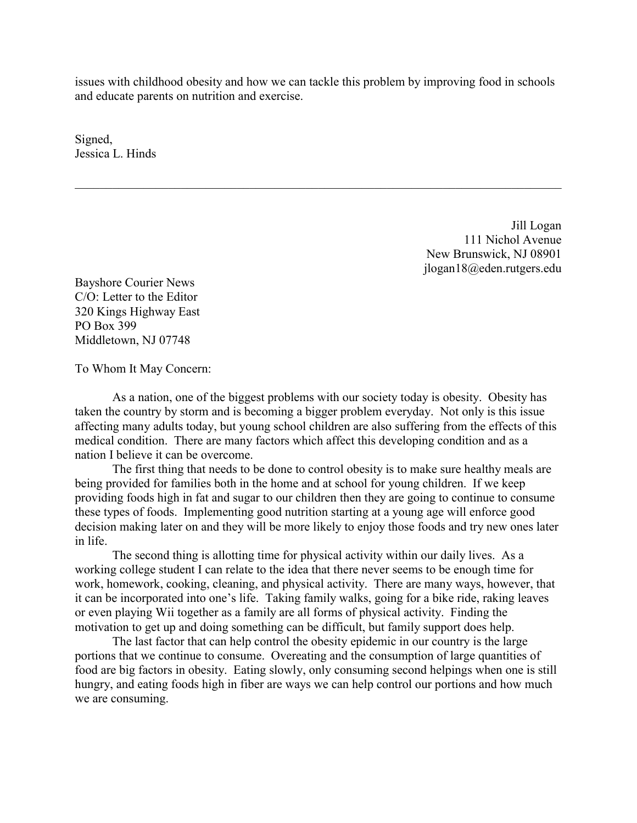issues with childhood obesity and how we can tackle this problem by improving food in schools and educate parents on nutrition and exercise.

 $\mathcal{L}_\mathcal{L} = \{ \mathcal{L}_\mathcal{L} = \{ \mathcal{L}_\mathcal{L} = \{ \mathcal{L}_\mathcal{L} = \{ \mathcal{L}_\mathcal{L} = \{ \mathcal{L}_\mathcal{L} = \{ \mathcal{L}_\mathcal{L} = \{ \mathcal{L}_\mathcal{L} = \{ \mathcal{L}_\mathcal{L} = \{ \mathcal{L}_\mathcal{L} = \{ \mathcal{L}_\mathcal{L} = \{ \mathcal{L}_\mathcal{L} = \{ \mathcal{L}_\mathcal{L} = \{ \mathcal{L}_\mathcal{L} = \{ \mathcal{L}_\mathcal{$ 

Signed, Jessica L. Hinds

> Jill Logan 111 Nichol Avenue New Brunswick, NJ 08901 jlogan18@eden.rutgers.edu

Bayshore Courier News C/O: Letter to the Editor 320 Kings Highway East PO Box 399 Middletown, NJ 07748

To Whom It May Concern:

As a nation, one of the biggest problems with our society today is obesity. Obesity has taken the country by storm and is becoming a bigger problem everyday. Not only is this issue affecting many adults today, but young school children are also suffering from the effects of this medical condition. There are many factors which affect this developing condition and as a nation I believe it can be overcome.

The first thing that needs to be done to control obesity is to make sure healthy meals are being provided for families both in the home and at school for young children. If we keep providing foods high in fat and sugar to our children then they are going to continue to consume these types of foods. Implementing good nutrition starting at a young age will enforce good decision making later on and they will be more likely to enjoy those foods and try new ones later in life.

The second thing is allotting time for physical activity within our daily lives. As a working college student I can relate to the idea that there never seems to be enough time for work, homework, cooking, cleaning, and physical activity. There are many ways, however, that it can be incorporated into one's life. Taking family walks, going for a bike ride, raking leaves or even playing Wii together as a family are all forms of physical activity. Finding the motivation to get up and doing something can be difficult, but family support does help.

The last factor that can help control the obesity epidemic in our country is the large portions that we continue to consume. Overeating and the consumption of large quantities of food are big factors in obesity. Eating slowly, only consuming second helpings when one is still hungry, and eating foods high in fiber are ways we can help control our portions and how much we are consuming.